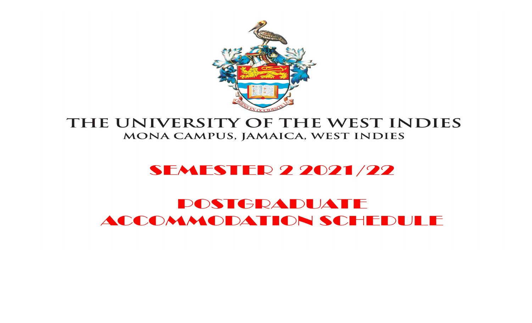

## THE UNIVERSITY OF THE WEST INDIES MONA CAMPUS, JAMAICA, WEST INDIES

## **SEMESTER 2 2021/22**

# **POSTGRADUATE** ACCOMMODATION SCHEDULE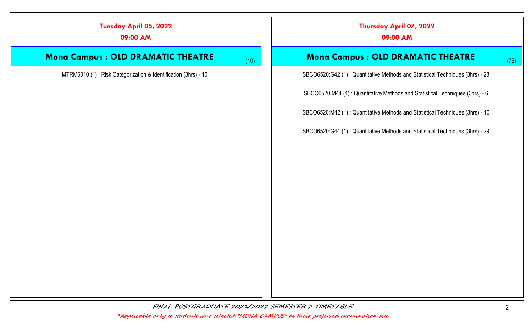| Tuesday April 05, 2022<br>09:00 AM                             |      | Thursday April 07, 2022<br>09:00 AM                                           |      |
|----------------------------------------------------------------|------|-------------------------------------------------------------------------------|------|
| <b>Mona Campus : OLD DRAMATIC THEATRE</b>                      | (10) | <b>Mona Campus: OLD DRAMATIC THEATRE</b>                                      | (73) |
| MTRM6010 (1): Risk Categorization & Identification (3hrs) - 10 |      | SBCO6520:G42 (1): Quantitative Methods and Statistical Techniques (3hrs) - 28 |      |
|                                                                |      | SBCO6520:M44 (1): Quantitative Methods and Statistical Techniques (3hrs) - 6  |      |
|                                                                |      | SBCO6520:M42 (1): Quantitative Methods and Statistical Techniques (3hrs) - 10 |      |
|                                                                |      | SBCO6520:G44 (1): Quantitative Methods and Statistical Techniques (3hrs) - 29 |      |
|                                                                |      |                                                                               |      |
|                                                                |      |                                                                               |      |
|                                                                |      |                                                                               |      |
|                                                                |      |                                                                               |      |
|                                                                |      |                                                                               |      |
|                                                                |      |                                                                               |      |
|                                                                |      |                                                                               |      |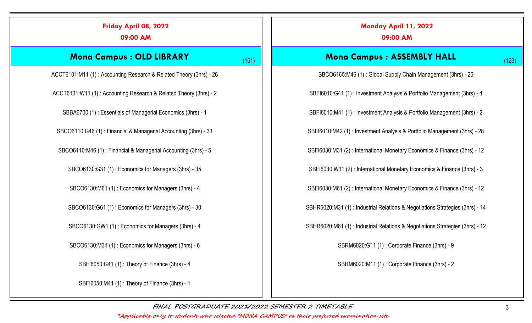| Friday April 08, 2022<br>09:00 AM                                  |       | Monday April 11, 2022<br>09:00 AM                                            |
|--------------------------------------------------------------------|-------|------------------------------------------------------------------------------|
| <b>Mona Campus : OLD LIBRARY</b>                                   | (151) | <b>Mona Campus: ASSEMBLY HALL</b><br>(123)                                   |
| ACCT6101:M11 (1): Accounting Research & Related Theory (3hrs) - 26 |       | SBCO6165:M46 (1): Global Supply Chain Management (3hrs) - 25                 |
| ACCT6101:W11 (1): Accounting Research & Related Theory (3hrs) - 2  |       | SBFI6010:G41 (1): Investment Analysis & Portfolio Management (3hrs) - 4      |
| SBBA6700 (1): Essentials of Managerial Economics (3hrs) - 1        |       | SBFI6010:M41 (1): Investment Analysis & Portfolio Management (3hrs) - 2      |
| SBCO6110:G46 (1): Financial & Managerial Accounting (3hrs) - 33    |       | SBFI6010:M42 (1): Investment Analysis & Portfolio Management (3hrs) - 28     |
| SBCO6110:M46 (1): Financial & Managerial Accounting (3hrs) - 5     |       | SBFI6030:M31 (2): International Monetary Economics & Finance (3hrs) - 12     |
| SBCO6130:G31 (1): Economics for Managers (3hrs) - 35               |       | SBFI6030:W11 (2): International Monetary Economics & Finance (3hrs) - 3      |
| SBCO6130:M61 (1): Economics for Managers (3hrs) - 4                |       | SBFI6030:M61 (2): International Monetary Economics & Finance (3hrs) - 12     |
| SBCO6130:G61 (1): Economics for Managers (3hrs) - 30               |       | SBHR6020:M31 (1): Industrial Relations & Negotiations Strategies (3hrs) - 14 |
| SBCO6130:GW1 (1): Economics for Managers (3hrs) - 4                |       | SBHR6020:M61 (1): Industrial Relations & Negotiations Strategies (3hrs) - 12 |
| SBCO6130:M31 (1): Economics for Managers (3hrs) - 6                |       | SBRM6020:G11 (1): Corporate Finance (3hrs) - 9                               |
| SBFI6050:G41 (1): Theory of Finance (3hrs) - 4                     |       | SBRM6020:M11 (1): Corporate Finance (3hrs) - 2                               |
| SBFI6050:M41 (1): Theory of Finance (3hrs) - 1                     |       |                                                                              |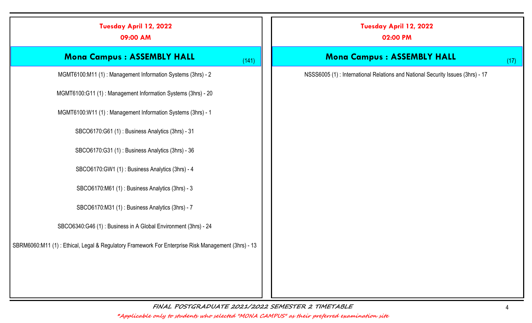| Tuesday April 12, 2022<br>09:00 AM                                                                 | Tuesday April 12, 2022<br>02:00 PM                                             |
|----------------------------------------------------------------------------------------------------|--------------------------------------------------------------------------------|
| <b>Mona Campus : ASSEMBLY HALL</b><br>(141)                                                        | <b>Mona Campus: ASSEMBLY HALL</b><br>(17)                                      |
| MGMT6100:M11 (1): Management Information Systems (3hrs) - 2                                        | NSSS6005 (1): International Relations and National Security Issues (3hrs) - 17 |
| MGMT6100:G11 (1): Management Information Systems (3hrs) - 20                                       |                                                                                |
| MGMT6100:W11 (1): Management Information Systems (3hrs) - 1                                        |                                                                                |
| SBCO6170:G61 (1): Business Analytics (3hrs) - 31                                                   |                                                                                |
| SBCO6170:G31 (1): Business Analytics (3hrs) - 36                                                   |                                                                                |
| SBCO6170:GW1 (1): Business Analytics (3hrs) - 4                                                    |                                                                                |
| SBCO6170:M61 (1): Business Analytics (3hrs) - 3                                                    |                                                                                |
| SBCO6170:M31 (1): Business Analytics (3hrs) - 7                                                    |                                                                                |
| SBCO6340:G46 (1): Business in A Global Environment (3hrs) - 24                                     |                                                                                |
| SBRM6060:M11 (1): Ethical, Legal & Regulatory Framework For Enterprise Risk Management (3hrs) - 13 |                                                                                |
|                                                                                                    |                                                                                |
|                                                                                                    |                                                                                |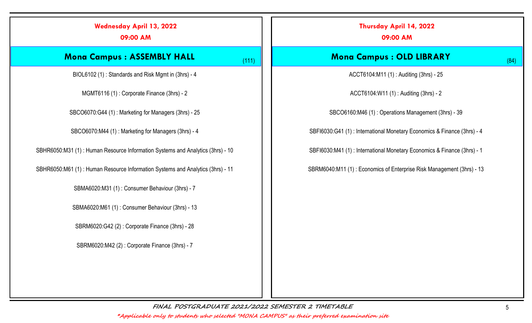| <b>Wednesday April 13, 2022</b><br>09:00 AM                                    |       | Thursday April 14, 2022<br>09:00 AM                                     |      |
|--------------------------------------------------------------------------------|-------|-------------------------------------------------------------------------|------|
| <b>Mona Campus : ASSEMBLY HALL</b>                                             | (111) | <b>Mona Campus : OLD LIBRARY</b>                                        | (84) |
| BIOL6102 (1): Standards and Risk Mgmt in (3hrs) - 4                            |       | ACCT6104:M11 (1): Auditing (3hrs) - 25                                  |      |
| MGMT6116 (1): Corporate Finance (3hrs) - 2                                     |       | ACCT6104:W11 (1): Auditing (3hrs) - 2                                   |      |
| SBCO6070:G44 (1): Marketing for Managers (3hrs) - 25                           |       | SBCO6160:M46 (1): Operations Management (3hrs) - 39                     |      |
| SBCO6070:M44 (1): Marketing for Managers (3hrs) - 4                            |       | SBFI6030:G41 (1): International Monetary Economics & Finance (3hrs) - 4 |      |
| SBHR6050:M31 (1): Human Resource Information Systems and Analytics (3hrs) - 10 |       | SBFI6030:M41 (1): International Monetary Economics & Finance (3hrs) - 1 |      |
| SBHR6050:M61 (1): Human Resource Information Systems and Analytics (3hrs) - 11 |       | SBRM6040:M11 (1): Economics of Enterprise Risk Management (3hrs) - 13   |      |
| SBMA6020:M31 (1): Consumer Behaviour (3hrs) - 7                                |       |                                                                         |      |
| SBMA6020:M61 (1): Consumer Behaviour (3hrs) - 13                               |       |                                                                         |      |
| SBRM6020:G42 (2): Corporate Finance (3hrs) - 28                                |       |                                                                         |      |
| SBRM6020:M42 (2): Corporate Finance (3hrs) - 7                                 |       |                                                                         |      |
|                                                                                |       |                                                                         |      |
|                                                                                |       |                                                                         |      |
| FINAL POSTGRADUATE 2021/2022 SEMESTER 2 TIMETABLE                              |       |                                                                         |      |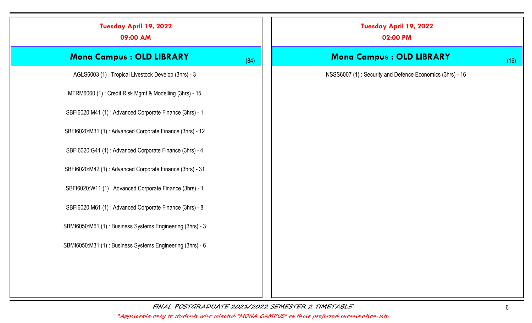| Tuesday April 19, 2022<br>09:00 AM                        |      | Tuesday April 19, 2022<br>02:00 PM                       |      |
|-----------------------------------------------------------|------|----------------------------------------------------------|------|
| <b>Mona Campus : OLD LIBRARY</b>                          | (84) | <b>Mona Campus : OLD LIBRARY</b>                         | (16) |
| AGLS6003 (1): Tropical Livestock Develop (3hrs) - 3       |      | NSSS6007 (1): Security and Defence Economics (3hrs) - 16 |      |
| MTRM6060 (1): Credit Risk Mgmt & Modelling (3hrs) - 15    |      |                                                          |      |
| SBFI6020:M41 (1): Advanced Corporate Finance (3hrs) - 1   |      |                                                          |      |
| SBFI6020:M31 (1): Advanced Corporate Finance (3hrs) - 12  |      |                                                          |      |
| SBFI6020:G41 (1): Advanced Corporate Finance (3hrs) - 4   |      |                                                          |      |
| SBFI6020:M42 (1): Advanced Corporate Finance (3hrs) - 31  |      |                                                          |      |
| SBFI6020:W11 (1): Advanced Corporate Finance (3hrs) - 1   |      |                                                          |      |
| SBFI6020:M61 (1): Advanced Corporate Finance (3hrs) - 8   |      |                                                          |      |
| SBMI6050:M61 (1): Business Systems Engineering (3hrs) - 3 |      |                                                          |      |
| SBMI6050:M31 (1): Business Systems Engineering (3hrs) - 6 |      |                                                          |      |
|                                                           |      |                                                          |      |
|                                                           |      |                                                          |      |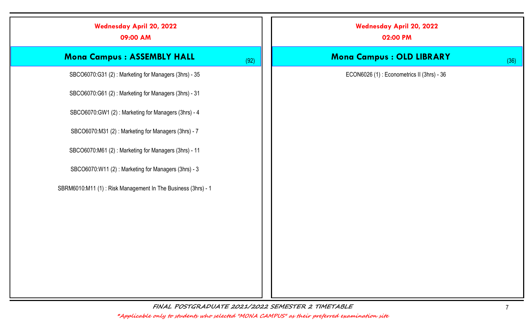| <b>Wednesday April 20, 2022</b><br>09:00 AM                  | <b>Wednesday April 20, 2022</b><br>02:00 PM |
|--------------------------------------------------------------|---------------------------------------------|
| <b>Mona Campus: ASSEMBLY HALL</b><br>(92)                    | <b>Mona Campus : OLD LIBRARY</b><br>(36)    |
| SBCO6070:G31 (2): Marketing for Managers (3hrs) - 35         | ECON6026 (1): Econometrics II (3hrs) - 36   |
| SBCO6070:G61 (2): Marketing for Managers (3hrs) - 31         |                                             |
| SBCO6070:GW1 (2): Marketing for Managers (3hrs) - 4          |                                             |
| SBCO6070:M31 (2): Marketing for Managers (3hrs) - 7          |                                             |
| SBCO6070:M61 (2): Marketing for Managers (3hrs) - 11         |                                             |
| SBCO6070:W11 (2): Marketing for Managers (3hrs) - 3          |                                             |
| SBRM6010:M11 (1): Risk Management In The Business (3hrs) - 1 |                                             |
|                                                              |                                             |
|                                                              |                                             |
|                                                              |                                             |
|                                                              |                                             |
|                                                              |                                             |
|                                                              |                                             |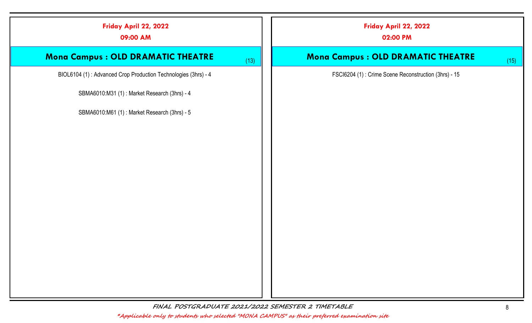| Friday April 22, 2022<br>09:00 AM                              |      | Friday April 22, 2022<br>02:00 PM                    |      |
|----------------------------------------------------------------|------|------------------------------------------------------|------|
| Mona Campus : OLD DRAMATIC THEATRE                             | (13) | <b>Mona Campus : OLD DRAMATIC THEATRE</b>            | (15) |
| BIOL6104 (1): Advanced Crop Production Technologies (3hrs) - 4 |      | FSCI6204 (1): Crime Scene Reconstruction (3hrs) - 15 |      |
| SBMA6010:M31 (1): Market Research (3hrs) - 4                   |      |                                                      |      |
| SBMA6010:M61 (1): Market Research (3hrs) - 5                   |      |                                                      |      |
|                                                                |      |                                                      |      |
|                                                                |      |                                                      |      |
|                                                                |      |                                                      |      |
|                                                                |      |                                                      |      |
|                                                                |      |                                                      |      |
|                                                                |      |                                                      |      |
|                                                                |      |                                                      |      |
|                                                                |      |                                                      |      |
|                                                                |      |                                                      |      |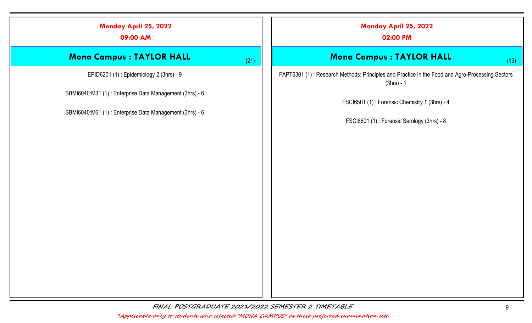# Monday April 25, 2022 09:00 AM Mona Campus : TAYLOR HALL (21) EPID6201 (1) : Epidemiology 2 (3hrs) - 9 SBMI6040:M31 (1) : Enterprise Data Management (3hrs) - 6 SBMI6040:M61 (1) : Enterprise Data Management (3hrs) - 6 Monday April 25, 2022 02:00 PM Mona Campus : TAYLOR HALL (13) FAPT6301 (1) : Research Methods: Principles and Practice in the Food and Agro-Processing Sectors (3hrs) - 1 FSCI6501 (1) : Forensic Chemistry 1 (3hrs) - 4 FSCI6601 (1) : Forensic Serology (3hrs) - 8

FINAL POSTGRADUATE 2021/2022 SEMESTER 2 TIMETABLE 9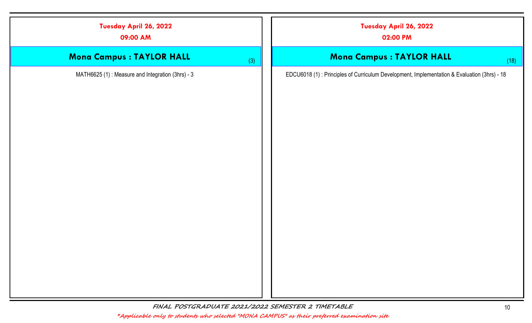| Tuesday April 26, 2022<br>09:00 AM               | Tuesday April 26, 2022<br>02:00 PM                                                           |      |
|--------------------------------------------------|----------------------------------------------------------------------------------------------|------|
| <b>Mona Campus : TAYLOR HALL</b>                 | <b>Mona Campus : TAYLOR HALL</b><br>(3)                                                      | (18) |
| MATH6625 (1): Measure and Integration (3hrs) - 3 | EDCU6018 (1) : Principles of Curriculum Development, Implementation & Evaluation (3hrs) - 18 |      |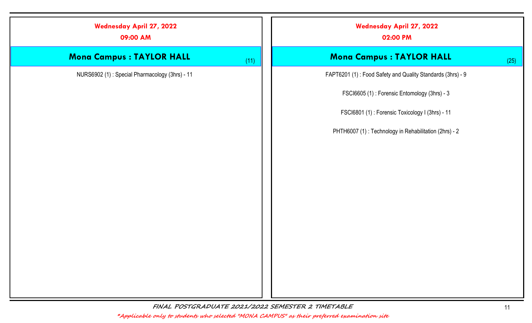| <b>Wednesday April 27, 2022</b><br>09:00 AM    |      | <b>Wednesday April 27, 2022</b><br>02:00 PM                |      |
|------------------------------------------------|------|------------------------------------------------------------|------|
| <b>Mona Campus : TAYLOR HALL</b>               | (11) | <b>Mona Campus : TAYLOR HALL</b>                           | (25) |
| NURS6902 (1): Special Pharmacology (3hrs) - 11 |      | FAPT6201 (1): Food Safety and Quality Standards (3hrs) - 9 |      |
|                                                |      | FSCI6605 (1): Forensic Entomology (3hrs) - 3               |      |
|                                                |      | FSCI6801 (1): Forensic Toxicology I (3hrs) - 11            |      |
|                                                |      | PHTH6007 (1): Technology in Rehabilitation (2hrs) - 2      |      |
|                                                |      |                                                            |      |
|                                                |      |                                                            |      |
|                                                |      |                                                            |      |
|                                                |      |                                                            |      |
|                                                |      |                                                            |      |
|                                                |      |                                                            |      |
|                                                |      |                                                            |      |
|                                                |      |                                                            |      |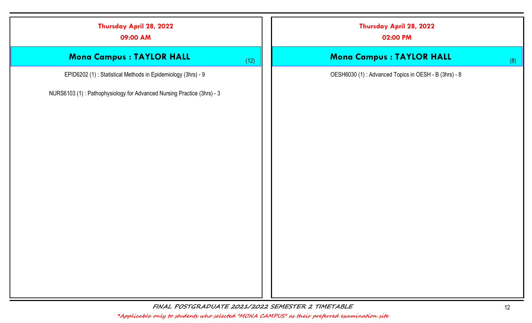| Thursday April 28, 2022<br>09:00 AM                                    | Thursday April 28, 2022<br>02:00 PM                  |
|------------------------------------------------------------------------|------------------------------------------------------|
| <b>Mona Campus : TAYLOR HALL</b><br>(12)                               | <b>Mona Campus : TAYLOR HALL</b><br>(8)              |
| EPID6202 (1): Statistical Methods in Epidemiology (3hrs) - 9           | OESH6030 (1): Advanced Topics in OESH - B (3hrs) - 8 |
| NURS6103 (1): Pathophysiology for Advanced Nursing Practice (3hrs) - 3 |                                                      |
|                                                                        |                                                      |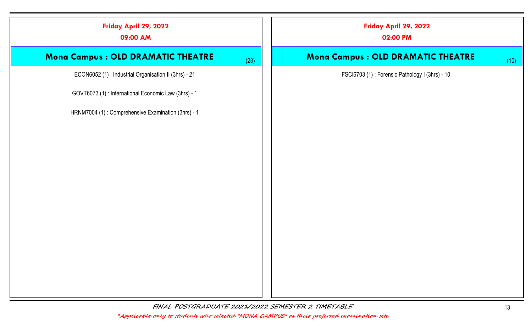| Friday April 29, 2022<br>09:00 AM                    |      | Friday April 29, 2022<br>02:00 PM              |      |
|------------------------------------------------------|------|------------------------------------------------|------|
| Mona Campus : OLD DRAMATIC THEATRE                   | (23) | Mona Campus : OLD DRAMATIC THEATRE             | (10) |
| ECON6052 (1): Industrial Organisation II (3hrs) - 21 |      | FSCI6703 (1): Forensic Pathology I (3hrs) - 10 |      |
| GOVT6073 (1) : International Economic Law (3hrs) - 1 |      |                                                |      |
| HRNM7004 (1): Comprehensive Examination (3hrs) - 1   |      |                                                |      |
|                                                      |      |                                                |      |
|                                                      |      |                                                |      |
|                                                      |      |                                                |      |
|                                                      |      |                                                |      |
|                                                      |      |                                                |      |
|                                                      |      |                                                |      |
|                                                      |      |                                                |      |
|                                                      |      |                                                |      |
|                                                      |      |                                                |      |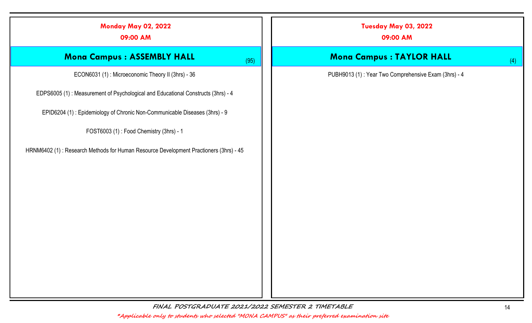| <b>Monday May 02, 2022</b><br>09:00 AM                                                | Tuesday May 03, 2022<br>09:00 AM                     |
|---------------------------------------------------------------------------------------|------------------------------------------------------|
| <b>Mona Campus : ASSEMBLY HALL</b><br>(95)                                            | <b>Mona Campus : TAYLOR HALL</b><br>(4)              |
| ECON6031 (1): Microeconomic Theory II (3hrs) - 36                                     | PUBH9013 (1): Year Two Comprehensive Exam (3hrs) - 4 |
| EDPS6005 (1): Measurement of Psychological and Educational Constructs (3hrs) - 4      |                                                      |
| EPID6204 (1): Epidemiology of Chronic Non-Communicable Diseases (3hrs) - 9            |                                                      |
| FOST6003 (1): Food Chemistry (3hrs) - 1                                               |                                                      |
| HRNM6402 (1): Research Methods for Human Resource Development Practioners (3hrs) - 45 |                                                      |
|                                                                                       |                                                      |
|                                                                                       |                                                      |
|                                                                                       |                                                      |
|                                                                                       |                                                      |
|                                                                                       |                                                      |
|                                                                                       |                                                      |
|                                                                                       |                                                      |
|                                                                                       |                                                      |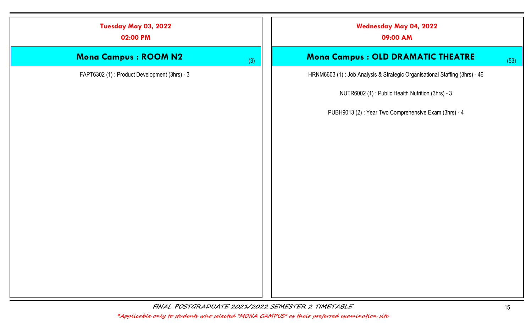| Tuesday May 03, 2022<br>02:00 PM             | <b>Wednesday May 04, 2022</b><br>09:00 AM                                  |
|----------------------------------------------|----------------------------------------------------------------------------|
| <b>Mona Campus : ROOM N2</b><br>(3)          | Mona Campus : OLD DRAMATIC THEATRE<br>(53)                                 |
| FAPT6302 (1): Product Development (3hrs) - 3 | HRNM6603 (1): Job Analysis & Strategic Organisational Staffing (3hrs) - 46 |
|                                              | NUTR6002 (1): Public Health Nutrition (3hrs) - 3                           |
|                                              | PUBH9013 (2): Year Two Comprehensive Exam (3hrs) - 4                       |
|                                              |                                                                            |
|                                              |                                                                            |
|                                              |                                                                            |
|                                              |                                                                            |
|                                              |                                                                            |
|                                              |                                                                            |
|                                              |                                                                            |
|                                              |                                                                            |
|                                              |                                                                            |
|                                              |                                                                            |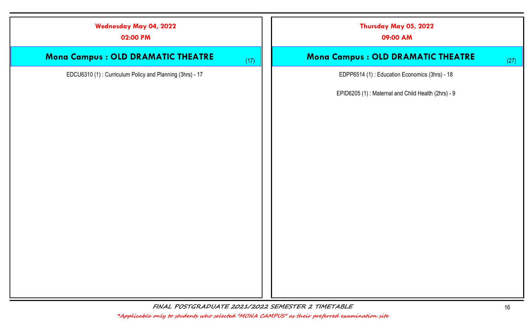| <b>Wednesday May 04, 2022</b><br>02:00 PM                | Thursday May 05, 2022<br>09:00 AM                  |
|----------------------------------------------------------|----------------------------------------------------|
| <b>Mona Campus : OLD DRAMATIC THEATRE</b>                | Mona Campus : OLD DRAMATIC THEATRE<br>(17)<br>(27) |
| EDCU6310 (1): Curriculum Policy and Planning (3hrs) - 17 | EDPP6514 (1): Education Economics (3hrs) - 18      |
|                                                          | EPID6205 (1): Maternal and Child Health (2hrs) - 9 |
|                                                          |                                                    |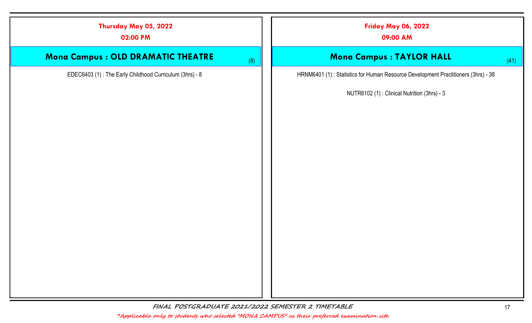| Thursday May 05, 2022<br>02:00 PM                       | <b>Friday May 06, 2022</b><br>09:00 AM                                            |
|---------------------------------------------------------|-----------------------------------------------------------------------------------|
| Mona Campus : OLD DRAMATIC THEATRE<br>(8)               | <b>Mona Campus : TAYLOR HALL</b><br>(41)                                          |
| EDEC6403 (1): The Early Childhood Curriculum (3hrs) - 8 | HRNM6401 (1): Statistics for Human Resource Development Practitioners (3hrs) - 38 |
|                                                         | NUTR6102 (1): Clinical Nutrition (3hrs) - 3                                       |
|                                                         |                                                                                   |
|                                                         |                                                                                   |
|                                                         |                                                                                   |
|                                                         |                                                                                   |
|                                                         |                                                                                   |
|                                                         |                                                                                   |
|                                                         |                                                                                   |
|                                                         |                                                                                   |
|                                                         |                                                                                   |
|                                                         |                                                                                   |
|                                                         |                                                                                   |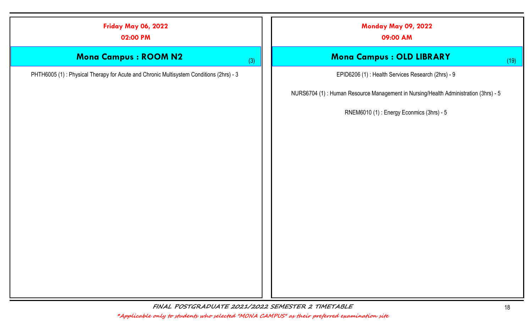#### Friday May 06, 2022

02:00 PM

## Mona Campus : ROOM N2 (3)

PHTH6005 (1) : Physical Therapy for Acute and Chronic Multisystem Conditions (2hrs) - 3

Monday May 09, 2022

09:00 AM

### **Mona Campus : OLD LIBRARY** (19)

EPID6206 (1) : Health Services Research (2hrs) - 9

NURS6704 (1) : Human Resource Management in Nursing/Health Administration (3hrs) - 5

RNEM6010 (1) : Energy Econmics (3hrs) - 5

FINAL POSTGRADUATE 2021/2022 SEMESTER 2 TIMETABLE 18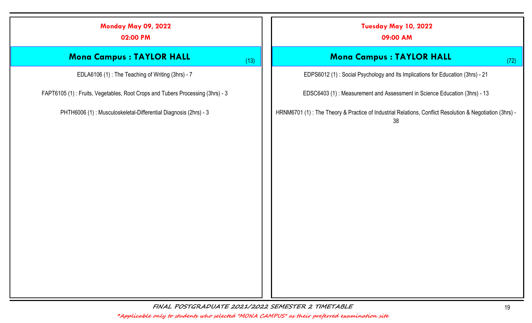| <b>Monday May 09, 2022</b><br>02:00 PM                                        | Tuesday May 10, 2022<br>09:00 AM                                                                               |
|-------------------------------------------------------------------------------|----------------------------------------------------------------------------------------------------------------|
| <b>Mona Campus : TAYLOR HALL</b><br>(13)                                      | Mona Campus : TAYLOR HALL<br>(72)                                                                              |
| EDLA6106 (1): The Teaching of Writing (3hrs) - 7                              | EDPS6012 (1): Social Psychology and Its Implications for Education (3hrs) - 21                                 |
| FAPT6105 (1): Fruits, Vegetables, Root Crops and Tubers Processing (3hrs) - 3 | EDSC6403 (1): Measurement and Assessment in Science Education (3hrs) - 13                                      |
| PHTH6006 (1): Musculoskeletal-Differential Diagnosis (2hrs) - 3               | HRNM6701 (1) : The Theory & Practice of Industrial Relations, Conflict Resolution & Negotiation (3hrs) -<br>38 |
|                                                                               |                                                                                                                |
|                                                                               |                                                                                                                |
|                                                                               |                                                                                                                |
|                                                                               |                                                                                                                |
|                                                                               |                                                                                                                |
|                                                                               |                                                                                                                |
|                                                                               |                                                                                                                |
|                                                                               |                                                                                                                |
|                                                                               |                                                                                                                |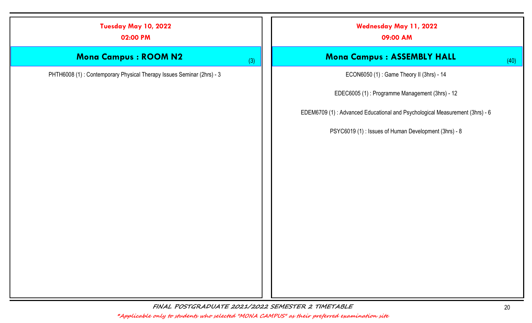| Tuesday May 10, 2022<br>02:00 PM                                      |     | Wednesday May 11, 2022<br>09:00 AM                                          |
|-----------------------------------------------------------------------|-----|-----------------------------------------------------------------------------|
| <b>Mona Campus : ROOM N2</b>                                          | (3) | Mona Campus : ASSEMBLY HALL<br>(40)                                         |
| PHTH6008 (1): Contemporary Physical Therapy Issues Seminar (2hrs) - 3 |     | ECON6050 (1): Game Theory II (3hrs) - 14                                    |
|                                                                       |     | EDEC6005 (1): Programme Management (3hrs) - 12                              |
|                                                                       |     | EDEM6709 (1): Advanced Educational and Psychological Measurement (3hrs) - 6 |
|                                                                       |     | PSYC6019 (1): Issues of Human Development (3hrs) - 8                        |
|                                                                       |     |                                                                             |
|                                                                       |     |                                                                             |
|                                                                       |     |                                                                             |
|                                                                       |     |                                                                             |
|                                                                       |     |                                                                             |
|                                                                       |     |                                                                             |
|                                                                       |     |                                                                             |
|                                                                       |     |                                                                             |
|                                                                       |     |                                                                             |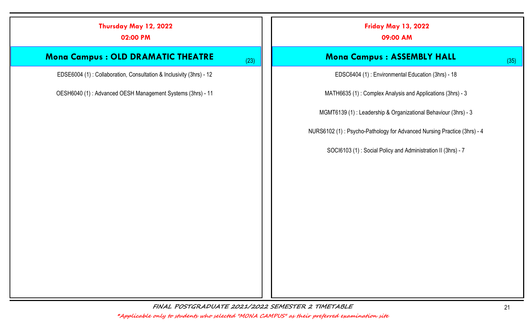# Mona Campus : OLD DRAMATIC THEATRE (23) EDSE6004 (1) : Collaboration, Consultation & Inclusivity (3hrs) - 12 OESH6040 (1) : Advanced OESH Management Systems (3hrs) - 11 Friday May 13, 2022 09:00 AM Mona Campus : ASSEMBLY HALL (35) EDSC6404 (1) : Environmental Education (3hrs) - 18 MATH6635 (1) : Complex Analysis and Applications (3hrs) - 3 MGMT6139 (1) : Leadership & Organizational Behaviour (3hrs) - 3 NURS6102 (1) : Psycho-Pathology for Advanced Nursing Practice (3hrs) - 4 SOCI6103 (1) : Social Policy and Administration II (3hrs) - 7

FINAL POSTGRADUATE 2021/2022 SEMESTER 2 TIMETABLE 2021 21

Thursday May 12, 2022

02:00 PM